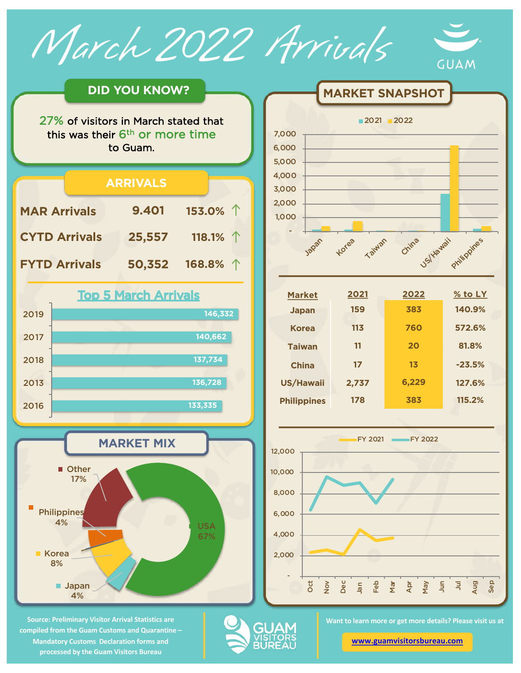March 2022 Arrivals





**Source: Preliminary Visitor Arrival Statistics are compiled from the Guam Customs and Quarantine – Mandatory Customs Declaration forms and processed by the Guam Visitors Bureau** 

4%



**MARKET SNAPSHOT** 

| 2021  | 2022  | $%$ to LY |
|-------|-------|-----------|
| 159   | 383   | 140.9%    |
| 113   | 760   | 572.6%    |
| 11    | 20    | 81.8%     |
| 17    | 13    | $-23.5%$  |
| 2,737 | 6,229 | 127.6%    |
| 178   | 383   | 115.2%    |
|       |       |           |



**Want to learn more or get more details? Please visit us at** 

**GUA** 

**[www.guamvisitorsbureau.co](https://www.guamvisitorsbureau.com/research-and-reports/research)m**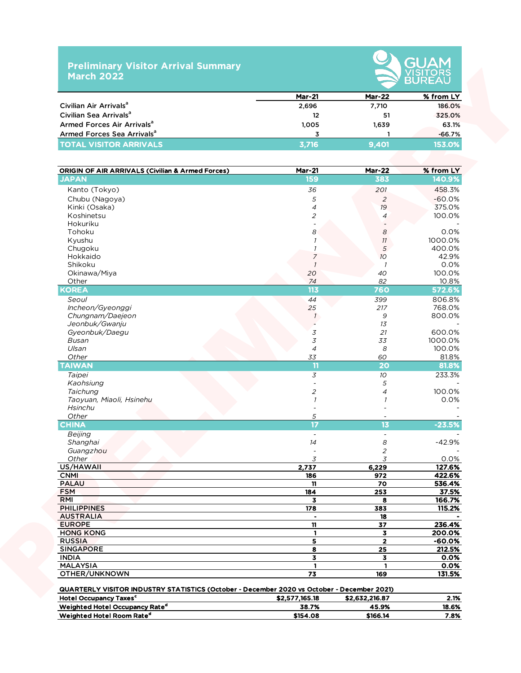## **Preliminary Visitor Arrival Summary March 2022**



|                                        | <b>Mar-21</b> | <b>Mar-22</b> | % from LY |
|----------------------------------------|---------------|---------------|-----------|
| Civilian Air Arrivals <sup>a</sup>     | 2,696         | 7,710         | 186.0%    |
| Civilian Sea Arrivals <sup>a</sup>     | 12            | 51            | 325.0%    |
| Armed Forces Air Arrivals <sup>a</sup> | 1,005         | 1.639         | 63.1%     |
| Armed Forces Sea Arrivals <sup>a</sup> |               |               | $-66.7%$  |
| <b>TOTAL VISITOR ARRIVALS</b>          | 3.716         | 9.401         | 153.0%    |

| Civilian Air Arrivals <sup>a</sup><br>Civilian Sea Arrivals <sup>a</sup><br>Armed Forces Air Arrivals <sup>a</sup> | 2,696                    |                         |                     |
|--------------------------------------------------------------------------------------------------------------------|--------------------------|-------------------------|---------------------|
|                                                                                                                    |                          | 7,710                   | 186.0%              |
|                                                                                                                    | 12                       | 51                      | 325.0%              |
|                                                                                                                    | 1,005                    | 1,639                   | 63.1%               |
| Armed Forces Sea Arrivals <sup>a</sup>                                                                             | 3                        | -1                      | $-66.7%$            |
| <b>TOTAL VISITOR ARRIVALS</b>                                                                                      | 3,716                    | 9,401                   | 153.0%              |
|                                                                                                                    |                          |                         |                     |
| <b>ORIGIN OF AIR ARRIVALS (Civilian &amp; Armed Forces)</b><br><b>JAPAN</b>                                        | <b>Mar-21</b><br>159     | <b>Mar-22</b><br>383    | % from LY<br>140.9% |
|                                                                                                                    |                          |                         |                     |
| Kanto (Tokyo)                                                                                                      | 36                       | 201                     | 458.3%              |
| Chubu (Nagoya)                                                                                                     | 5                        | $\overline{2}$          | $-60.0%$            |
| Kinki (Osaka)                                                                                                      | $\overline{\mathcal{A}}$ | 19                      | 375.0%              |
| Koshinetsu                                                                                                         | $\overline{c}$           | $\overline{4}$          | 100.0%              |
| Hokuriku                                                                                                           |                          |                         |                     |
| Tohoku                                                                                                             | 8                        | 8                       | 0.0%<br>1000.0%     |
| Kyushu                                                                                                             |                          | 11                      |                     |
| Chugoku                                                                                                            |                          | $\sqrt{5}$              | 400.0%              |
| Hokkaido<br>Shikoku                                                                                                | $\overline{7}$           | 10 <sup>°</sup>         | 42.9%               |
|                                                                                                                    | $\overline{1}$           | $\mathcal I$<br>40      | 0.0%<br>100.0%      |
| Okinawa/Miya                                                                                                       | 20<br>74                 |                         |                     |
| Other<br><b>KOREA</b>                                                                                              | 113                      | 82<br>760               | 10.8%               |
|                                                                                                                    |                          |                         | 572.6%              |
| Seoul                                                                                                              | 44                       | 399                     | 806.8%              |
| Incheon/Gyeonggi                                                                                                   | 25                       | 217                     | 768.0%              |
| Chungnam/Daejeon                                                                                                   | $\mathcal{I}$            | 9                       | 800.0%              |
| Jeonbuk/Gwanju                                                                                                     |                          | 13                      |                     |
| Gyeonbuk/Daegu                                                                                                     | 3                        | 21                      | 600.0%              |
| Busan                                                                                                              | 3                        | 33                      | 1000.0%             |
| Ulsan                                                                                                              | $\overline{\mathcal{A}}$ | 8                       | 100.0%              |
| Other                                                                                                              | 33                       | 60<br>20                | 81.8%               |
| <b>TAIWAN</b>                                                                                                      | 11                       |                         | 81.8%               |
| Taipei                                                                                                             | $\overline{3}$           | 10 <sup>°</sup>         | 233.3%              |
| Kaohsiung                                                                                                          |                          | 5                       |                     |
| Taichung                                                                                                           | $\overline{c}$           | 4                       | 100.0%              |
| Taoyuan, Miaoli, Hsinehu                                                                                           | $\mathcal{I}$            | 1                       | 0.0%                |
| Hsinchu                                                                                                            |                          |                         |                     |
| Other                                                                                                              | 5                        |                         |                     |
| <b>CHINA</b>                                                                                                       | $\overline{17}$          | 13                      | $-23.5%$            |
| Beijing                                                                                                            | $\blacksquare$           |                         |                     |
| Shanghai                                                                                                           | 14                       | 8                       | $-42.9%$            |
| Guangzhou                                                                                                          |                          | 2                       |                     |
| Other                                                                                                              | 3                        | 3                       | 0.0%                |
| US/HAWAII                                                                                                          | 2,737                    | 6,229                   | 127.6%              |
| <b>CNMI</b>                                                                                                        | 186                      | 972                     | 422.6%              |
| <b>PALAU</b>                                                                                                       | 11                       | 70                      | 536.4%              |
| <b>FSM</b>                                                                                                         | 184                      | 253                     | 37.5%               |
| RMI                                                                                                                | $\overline{\mathbf{3}}$  | 8                       | 166.7%              |
| <b>PHILIPPINES</b>                                                                                                 | 178                      | 383                     | 115.2%              |
| <b>AUSTRALIA</b>                                                                                                   |                          | 18                      |                     |
| <b>EUROPE</b>                                                                                                      | $\mathbf{n}$             | 37                      | 236.4%              |
| <b>HONG KONG</b>                                                                                                   | $\mathbf{1}$             | 3                       | 200.0%              |
| <b>RUSSIA</b>                                                                                                      | 5                        | $\overline{\mathbf{2}}$ | $-60.0%$            |
| <b>SINGAPORE</b>                                                                                                   | 8                        | 25                      | 212.5%              |
| <b>INDIA</b>                                                                                                       | 3                        | $\overline{\mathbf{3}}$ | 0.0%                |
| <b>MALAYSIA</b>                                                                                                    | $\mathbf{1}$             | $\mathbf{1}$            | 0.0%                |
| OTHER/UNKNOWN<br>QUARTERLY VISITOR INDUSTRY STATISTICS (October - December 2020 vs October - December 2021)        | 73                       | 169                     | 131.5%              |

 $\frac{1}{2}$ Weighted Hotel Room Rate<sup>d</sup> 2.8%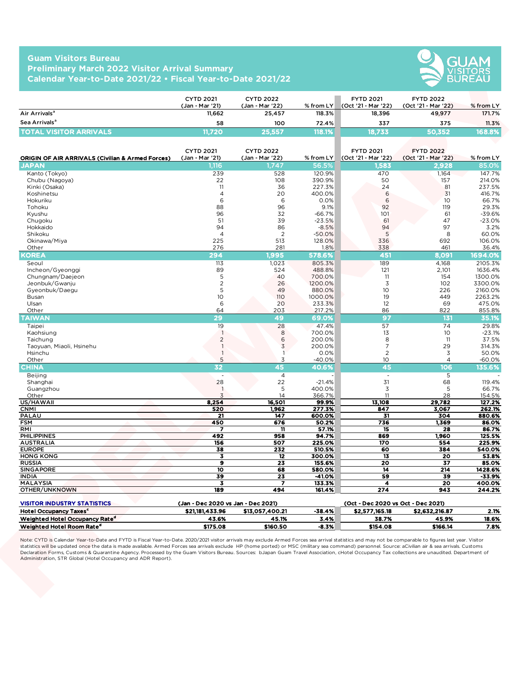## **Guam Visitors Bureau Preliminary March 2022 Visitor Arrival Summary Calendar Year-to-Date 2021/22 • Fiscal Year-to-Date 2021/22**



|                               | <b>CYTD 2021</b><br>(Jan - Mar '21) | <b>CYTD 2022</b><br>(Jan - Mar '22) | $%$ from LY | <b>FYTD 2021</b><br>(Oct '21 - Mar '22) | <b>FYTD 2022</b><br>(Oct '21 - Mar '22) | $%$ from LY |
|-------------------------------|-------------------------------------|-------------------------------------|-------------|-----------------------------------------|-----------------------------------------|-------------|
| Air Arrivals <sup>a</sup>     | 11.662                              | 25.457                              | 118.3%      | 18.396                                  | 49.977                                  | 171.7%      |
| Sea Arrivals <sup>a</sup>     | 58                                  | 100                                 | 72.4%       | 337                                     | 375                                     | 11.3%       |
| <b>TOTAL VISITOR ARRIVALS</b> | <b>1.720</b>                        | 25.557                              | 118.1%      | 18.733                                  | 50,352                                  | 168.8% \    |

|                                                                                     | <b>CYTD 2021</b>                   | <b>CYTD 2022</b>          |                     | <b>FYTD 2021</b>                   | <b>FYTD 2022</b>              |                     |
|-------------------------------------------------------------------------------------|------------------------------------|---------------------------|---------------------|------------------------------------|-------------------------------|---------------------|
| Air Arrivals <sup>a</sup>                                                           | (Jan - Mar '21)<br>11,662          | (Jan - Mar '22)<br>25,457 | % from LY<br>118.3% | (Oct '21 - Mar '22)<br>18,396      | (Oct '21 - Mar '22)<br>49,977 | % from LY<br>171.7% |
| Sea Arrivals <sup>a</sup>                                                           |                                    |                           |                     |                                    |                               |                     |
|                                                                                     | 58                                 | 100                       | 72.4%               | 337                                | 375                           | 11.3%               |
| <b>TOTAL VISITOR ARRIVALS</b>                                                       | 11,720                             | 25,557                    | 118.1%              | 18,733                             | 50,352                        | 168.8%              |
|                                                                                     |                                    |                           |                     |                                    |                               |                     |
|                                                                                     | <b>CYTD 2021</b>                   | <b>CYTD 2022</b>          |                     | <b>FYTD 2021</b>                   | <b>FYTD 2022</b>              |                     |
| <b>ORIGIN OF AIR ARRIVALS (Civilian &amp; Armed Forces)</b>                         | (Jan - Mar '21)                    | (Jan - Mar '22)           | % from $LY$         | (Oct '21 - Mar '22)                | (Oct '21 - Mar '22)           | % from LY           |
| JAPAN                                                                               | 1,116                              | .747                      | 56.5%               | ,583                               | 2,928                         | 85.0%               |
| Kanto (Tokyo)<br>Chubu (Nagoya)                                                     | 239<br>22                          | 528<br>108                | 120.9%<br>390.9%    | 470<br>50                          | 1,164<br>157                  | 147.7%<br>214.0%    |
| Kinki (Osaka)                                                                       | 11                                 | 36                        | 227.3%              | 24                                 | 81                            | 237.5%              |
| Koshinetsu                                                                          | $\overline{4}$                     | 20                        | 400.0%              | 6                                  | 31                            | 416.7%              |
| Hokuriku                                                                            | 6                                  | 6                         | 0.0%                | 6                                  | 10                            | 66.7%               |
| Tohoku                                                                              | 88                                 | 96                        | 9.1%                | 92                                 | 119                           | 29.3%               |
| Kyushu                                                                              | 96                                 | 32                        | $-66.7%$            | 101                                | 61                            | $-39.6%$            |
| Chugoku                                                                             | 51                                 | 39                        | $-23.5%$            | 61                                 | 47                            | $-23.0%$            |
| Hokkaido                                                                            | 94                                 | 86                        | $-8.5%$             | 94                                 | 97                            | 3.2%                |
| Shikoku                                                                             | $\overline{4}$                     | 2                         | $-50.0%$            | 5                                  | 8                             | 60.0%               |
| Okinawa/Miya                                                                        | 225                                | 513                       | 128.0%              | 336                                | 692                           | 106.0%              |
| Other                                                                               | 276                                | 281                       | 1.8%                | 338                                | 461                           | 36.4%               |
| <b>KOREA</b>                                                                        | 294                                | 1,995                     | 578.6%              | 451                                | 8,091                         | 1694.0%             |
| Seoul                                                                               | 113                                | 1,023                     | 805.3%              | 189                                | 4,168                         | 2105.3%             |
| Incheon/Gyeonggi                                                                    | 89                                 | 524                       | 488.8%              | 121                                | 2,101                         | 1636.4%             |
| Chungnam/Daejeon                                                                    | 5                                  | 40                        | 700.0%              | 11                                 | 154                           | 1300.0%             |
| Jeonbuk/Gwanju                                                                      | $\overline{c}$                     | 26                        | 1200.0%             | 3                                  | 102                           | 3300.0%             |
| Gyeonbuk/Daegu                                                                      | 5                                  | 49                        | 880.0%<br>1000.0%   | 10 <sup>°</sup><br>19              | 226<br>449                    | 2160.0%<br>2263.2%  |
| Busan<br>Ulsan                                                                      | 10<br>6                            | 110<br>20                 | 233.3%              | 12                                 | 69                            | 475.0%              |
| Other                                                                               | 64                                 | 203                       | 217.2%              | 86                                 | 822                           | 855.8%              |
| <b>TAIWAN</b>                                                                       | 29                                 | 49                        | 69.0%               | 97                                 | 131                           | 35.1%               |
|                                                                                     | 19                                 | 28                        | 47.4%               | 57                                 | 74                            | 29.8%               |
| Taipei<br>Kaohsiung                                                                 | $\overline{1}$                     | 8                         | 700.0%              | 13                                 | 10                            | $-23.1%$            |
| Taichung                                                                            | $\sqrt{2}$                         | 6                         | 200.0%              | 8                                  | 11                            | 37.5%               |
| Taoyuan, Miaoli, Hsinehu                                                            | $\overline{1}$                     | $\overline{3}$            | 200.0%              | 7                                  | 29                            | 314.3%              |
| Hsinchu                                                                             | $\overline{\phantom{a}}$           | $\mathbf{1}$              | 0.0%                | $\overline{2}$                     | $\mathfrak Z$                 | 50.0%               |
| Other                                                                               | 5                                  | 3                         | $-40.0%$            | 10                                 | $\overline{4}$                | $-60.0%$            |
| <b>CHINA</b>                                                                        | 32                                 | 45                        | 40.6%               | 45                                 | 106                           | 135.6%              |
| Beijing                                                                             |                                    | $\overline{4}$            |                     | $\overline{\phantom{a}}$           | 5                             |                     |
| Shanghai                                                                            | 28                                 | 22                        | $-21.4%$            | 31                                 | 68                            | 119.4%              |
| Guangzhou                                                                           | $\overline{1}$                     | 5                         | 400.0%              | 3                                  | 5                             | 66.7%               |
| Other                                                                               | 3                                  | 14                        | 366.7%              | 11                                 | 28                            | 154.5%              |
| US/HAWAII                                                                           | 8,254                              | 16,501                    | 99.9%               | 13,108                             | 29,782                        | 127.2%              |
| <b>CNMI</b>                                                                         | 520                                | 1,962                     | 277.3%              | 847                                | 3,067                         | 262.1%              |
| PALAU                                                                               | 21                                 | 147                       | 600.0%              | 31                                 | 304                           | 880.6%              |
| <b>FSM</b>                                                                          | 450                                | 676                       | 50.2%               | 736                                | 1,369                         | 86.0%               |
| RMI                                                                                 |                                    | 11                        | 57.1%               | 15                                 | 28                            | 86.7%               |
| <b>PHILIPPINES</b><br><b>AUSTRALIA</b>                                              | 492<br>156                         | 958<br>507                | 94.7%<br>225.0%     | 869<br>170                         | 1,960<br>554                  | 125.5%<br>225.9%    |
| <b>EUROPE</b>                                                                       | 38                                 | 232                       | 510.5%              | 60                                 | 384                           | 540.0%              |
| <b>HONG KONG</b>                                                                    | 3                                  | 12                        | 300.0%              | 13                                 | 20                            | 53.8%               |
| <b>RUSSIA</b>                                                                       | 9                                  | 23                        | 155.6%              | 20                                 | 37                            | 85.0%               |
| <b>SINGAPORE</b>                                                                    | 10                                 | 68                        | 580.0%              | 14                                 | 214                           | 1428.6%             |
| <b>INDIA</b>                                                                        | 39                                 | 23                        | -41.0%              | 59                                 | 39                            | -33.9%              |
| MALAYSIA                                                                            | 3                                  | 7                         | 133.3%              | 4                                  | 20                            | 400.0%              |
| OTHER/UNKNOWN                                                                       | 189                                | 494                       | 161.4%              | 274                                | 943                           | 244.2%              |
|                                                                                     |                                    |                           |                     |                                    |                               |                     |
| <b>VISITOR INDUSTRY STATISTICS</b>                                                  | (Jan - Dec 2020 vs Jan - Dec 2021) |                           |                     | (Oct - Dec 2020 vs Oct - Dec 2021) |                               |                     |
| Hotel Occupancy Taxes <sup>c</sup>                                                  | \$21,181,433.96                    | \$13,057,400.21           | $-38.4%$            | \$2,577,165.18                     | \$2,632,216.87                | 2.1%                |
| Weighted Hotel Occupancy Rate <sup>d</sup><br>Weighted Hotel Room Rate <sup>d</sup> | 43.6%                              | 45.1%                     | 3.4%                | 38.7%                              | 45.9%                         | 18.6%               |
|                                                                                     | \$175.08                           | \$160.50                  | -8.3%               | \$154.08                           | \$166.14                      | 7.8%                |

| <b>VISITOR INDUSTRY STATISTICS</b>         | (Jan - Dec 2020 vs Jan - Dec 2021) |                 |         | (Oct - Dec 2020 vs Oct - Dec 2021) |                |       |
|--------------------------------------------|------------------------------------|-----------------|---------|------------------------------------|----------------|-------|
| <b>Hotel Occupancy Taxes<sup>c</sup></b>   | \$21.181.433.96                    | \$13.057.400.21 | -38.4%  | \$2.577.165.18                     | \$2.632.216.87 | 2.1%  |
| Weighted Hotel Occupancy Rate <sup>d</sup> | 43.6%                              | 45.1%           | 3.4%    | 38.7%                              | 45.9%          | 18.6% |
| Weighted Hotel Room Rate <sup>e</sup>      | \$175.08                           | \$160.50        | $-8.3%$ | \$154.08                           | \$166.14       | 7.8%  |